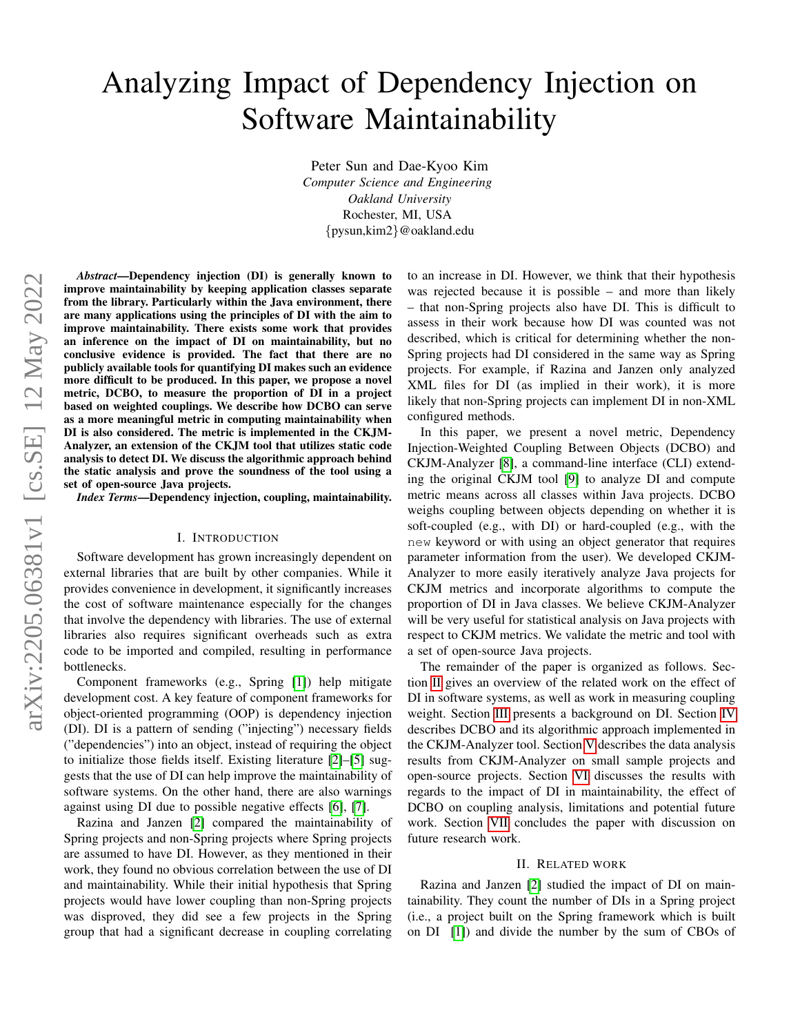# Analyzing Impact of Dependency Injection on Software Maintainability

Peter Sun and Dae-Kyoo Kim *Computer Science and Engineering Oakland University* Rochester, MI, USA {pysun,kim2}@oakland.edu

*Abstract*—Dependency injection (DI) is generally known to improve maintainability by keeping application classes separate from the library. Particularly within the Java environment, there are many applications using the principles of DI with the aim to improve maintainability. There exists some work that provides an inference on the impact of DI on maintainability, but no conclusive evidence is provided. The fact that there are no publicly available tools for quantifying DI makes such an evidence more difficult to be produced. In this paper, we propose a novel metric, DCBO, to measure the proportion of DI in a project based on weighted couplings. We describe how DCBO can serve as a more meaningful metric in computing maintainability when DI is also considered. The metric is implemented in the CKJM-Analyzer, an extension of the CKJM tool that utilizes static code analysis to detect DI. We discuss the algorithmic approach behind the static analysis and prove the soundness of the tool using a set of open-source Java projects.

*Index Terms*—Dependency injection, coupling, maintainability.

### I. INTRODUCTION

Software development has grown increasingly dependent on external libraries that are built by other companies. While it provides convenience in development, it significantly increases the cost of software maintenance especially for the changes that involve the dependency with libraries. The use of external libraries also requires significant overheads such as extra code to be imported and compiled, resulting in performance bottlenecks.

Component frameworks (e.g., Spring [\[1\]](#page-6-0)) help mitigate development cost. A key feature of component frameworks for object-oriented programming (OOP) is dependency injection (DI). DI is a pattern of sending ("injecting") necessary fields ("dependencies") into an object, instead of requiring the object to initialize those fields itself. Existing literature [\[2\]](#page-6-1)–[\[5\]](#page-6-2) suggests that the use of DI can help improve the maintainability of software systems. On the other hand, there are also warnings against using DI due to possible negative effects [\[6\]](#page-6-3), [\[7\]](#page-6-4).

Razina and Janzen [\[2\]](#page-6-1) compared the maintainability of Spring projects and non-Spring projects where Spring projects are assumed to have DI. However, as they mentioned in their work, they found no obvious correlation between the use of DI and maintainability. While their initial hypothesis that Spring projects would have lower coupling than non-Spring projects was disproved, they did see a few projects in the Spring group that had a significant decrease in coupling correlating to an increase in DI. However, we think that their hypothesis was rejected because it is possible – and more than likely – that non-Spring projects also have DI. This is difficult to assess in their work because how DI was counted was not described, which is critical for determining whether the non-Spring projects had DI considered in the same way as Spring projects. For example, if Razina and Janzen only analyzed XML files for DI (as implied in their work), it is more likely that non-Spring projects can implement DI in non-XML configured methods.

In this paper, we present a novel metric, Dependency Injection-Weighted Coupling Between Objects (DCBO) and CKJM-Analyzer [\[8\]](#page-6-5), a command-line interface (CLI) extending the original CKJM tool [\[9\]](#page-6-6) to analyze DI and compute metric means across all classes within Java projects. DCBO weighs coupling between objects depending on whether it is soft-coupled (e.g., with DI) or hard-coupled (e.g., with the new keyword or with using an object generator that requires parameter information from the user). We developed CKJM-Analyzer to more easily iteratively analyze Java projects for CKJM metrics and incorporate algorithms to compute the proportion of DI in Java classes. We believe CKJM-Analyzer will be very useful for statistical analysis on Java projects with respect to CKJM metrics. We validate the metric and tool with a set of open-source Java projects.

The remainder of the paper is organized as follows. Section [II](#page-0-0) gives an overview of the related work on the effect of DI in software systems, as well as work in measuring coupling weight. Section [III](#page-1-0) presents a background on DI. Section [IV](#page-2-0) describes DCBO and its algorithmic approach implemented in the CKJM-Analyzer tool. Section [V](#page-3-0) describes the data analysis results from CKJM-Analyzer on small sample projects and open-source projects. Section [VI](#page-5-0) discusses the results with regards to the impact of DI in maintainability, the effect of DCBO on coupling analysis, limitations and potential future work. Section [VII](#page-6-7) concludes the paper with discussion on future research work.

#### II. RELATED WORK

<span id="page-0-0"></span>Razina and Janzen [\[2\]](#page-6-1) studied the impact of DI on maintainability. They count the number of DIs in a Spring project (i.e., a project built on the Spring framework which is built on DI [\[1\]](#page-6-0)) and divide the number by the sum of CBOs of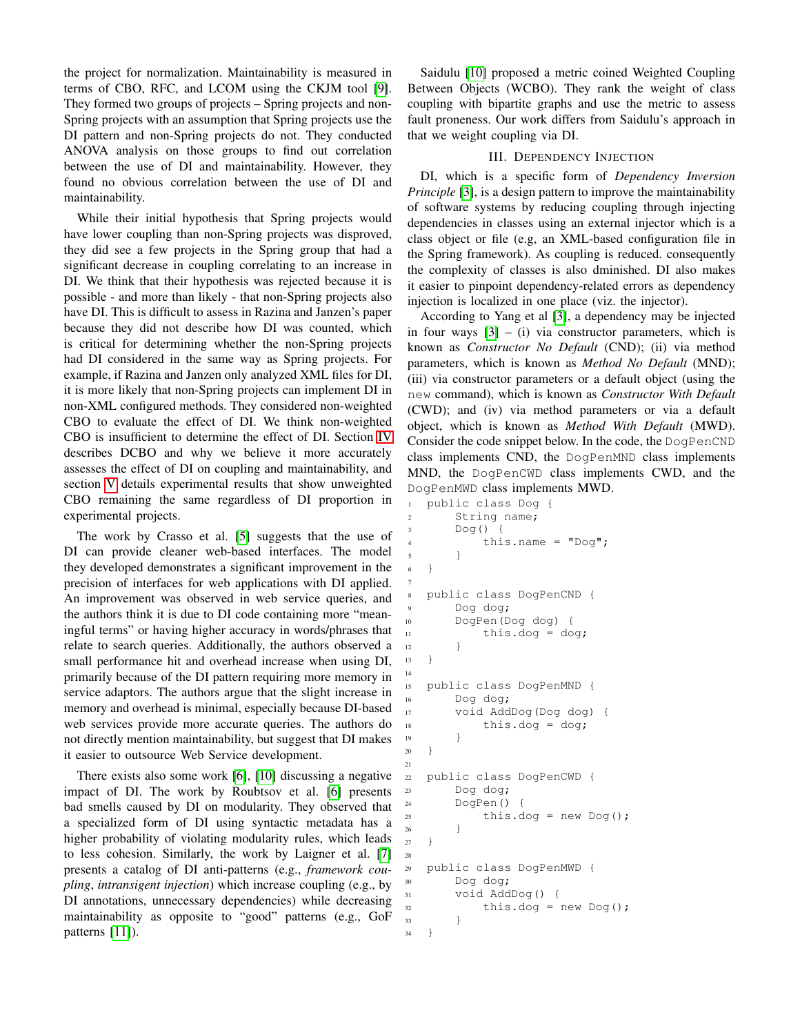the project for normalization. Maintainability is measured in terms of CBO, RFC, and LCOM using the CKJM tool [\[9\]](#page-6-6). They formed two groups of projects – Spring projects and non-Spring projects with an assumption that Spring projects use the DI pattern and non-Spring projects do not. They conducted ANOVA analysis on those groups to find out correlation between the use of DI and maintainability. However, they found no obvious correlation between the use of DI and maintainability.

While their initial hypothesis that Spring projects would have lower coupling than non-Spring projects was disproved, they did see a few projects in the Spring group that had a significant decrease in coupling correlating to an increase in DI. We think that their hypothesis was rejected because it is possible - and more than likely - that non-Spring projects also have DI. This is difficult to assess in Razina and Janzen's paper because they did not describe how DI was counted, which is critical for determining whether the non-Spring projects had DI considered in the same way as Spring projects. For example, if Razina and Janzen only analyzed XML files for DI, it is more likely that non-Spring projects can implement DI in non-XML configured methods. They considered non-weighted CBO to evaluate the effect of DI. We think non-weighted CBO is insufficient to determine the effect of DI. Section [IV](#page-2-0) describes DCBO and why we believe it more accurately assesses the effect of DI on coupling and maintainability, and section [V](#page-3-0) details experimental results that show unweighted CBO remaining the same regardless of DI proportion in experimental projects.

The work by Crasso et al. [\[5\]](#page-6-2) suggests that the use of DI can provide cleaner web-based interfaces. The model they developed demonstrates a significant improvement in the precision of interfaces for web applications with DI applied. An improvement was observed in web service queries, and the authors think it is due to DI code containing more "meaningful terms" or having higher accuracy in words/phrases that relate to search queries. Additionally, the authors observed a small performance hit and overhead increase when using DI, primarily because of the DI pattern requiring more memory in service adaptors. The authors argue that the slight increase in memory and overhead is minimal, especially because DI-based web services provide more accurate queries. The authors do not directly mention maintainability, but suggest that DI makes it easier to outsource Web Service development.

There exists also some work [\[6\]](#page-6-3), [\[10\]](#page-6-8) discussing a negative impact of DI. The work by Roubtsov et al. [\[6\]](#page-6-3) presents bad smells caused by DI on modularity. They observed that a specialized form of DI using syntactic metadata has a higher probability of violating modularity rules, which leads to less cohesion. Similarly, the work by Laigner et al. [\[7\]](#page-6-4) presents a catalog of DI anti-patterns (e.g., *framework coupling*, *intransigent injection*) which increase coupling (e.g., by DI annotations, unnecessary dependencies) while decreasing maintainability as opposite to "good" patterns (e.g., GoF patterns [\[11\]](#page-6-9)).

Saidulu [\[10\]](#page-6-8) proposed a metric coined Weighted Coupling Between Objects (WCBO). They rank the weight of class coupling with bipartite graphs and use the metric to assess fault proneness. Our work differs from Saidulu's approach in that we weight coupling via DI.

## III. DEPENDENCY INJECTION

<span id="page-1-0"></span>DI, which is a specific form of *Dependency Inversion Principle* [\[3\]](#page-6-10), is a design pattern to improve the maintainability of software systems by reducing coupling through injecting dependencies in classes using an external injector which is a class object or file (e.g, an XML-based configuration file in the Spring framework). As coupling is reduced. consequently the complexity of classes is also dminished. DI also makes it easier to pinpoint dependency-related errors as dependency injection is localized in one place (viz. the injector).

According to Yang et al [\[3\]](#page-6-10), a dependency may be injected in four ways  $[3] - (i)$  $[3] - (i)$  via constructor parameters, which is known as *Constructor No Default* (CND); (ii) via method parameters, which is known as *Method No Default* (MND); (iii) via constructor parameters or a default object (using the new command), which is known as *Constructor With Default* (CWD); and (iv) via method parameters or via a default object, which is known as *Method With Default* (MWD). Consider the code snippet below. In the code, the DogPenCND class implements CND, the DogPenMND class implements MND, the DogPenCWD class implements CWD, and the DogPenMWD class implements MWD.

```
1 public class Dog {
2 String name;
3 Dog() {
4 this.name = "Dog";
5 }
6 }
  public class DogPenCND {
9 Dog dog;
10 DogPen(Dog dog) {
11 this.dog = dog;
12 }
13 }
15 public class DogPenMND {
16 Dog dog;
17 void AddDog(Dog dog) {
18 this.dog = dog;
19 }
20 }
22 public class DogPenCWD {
23 Dog dog;
24 DogPen() {
25 this.dog = new Dog();
26 }
27 }
29 public class DogPenMWD {
30 Dog dog;
31 void AddDog() {
32 this.dog = new Dog();
34 }
```
7

14

21

28

<sup>33</sup> }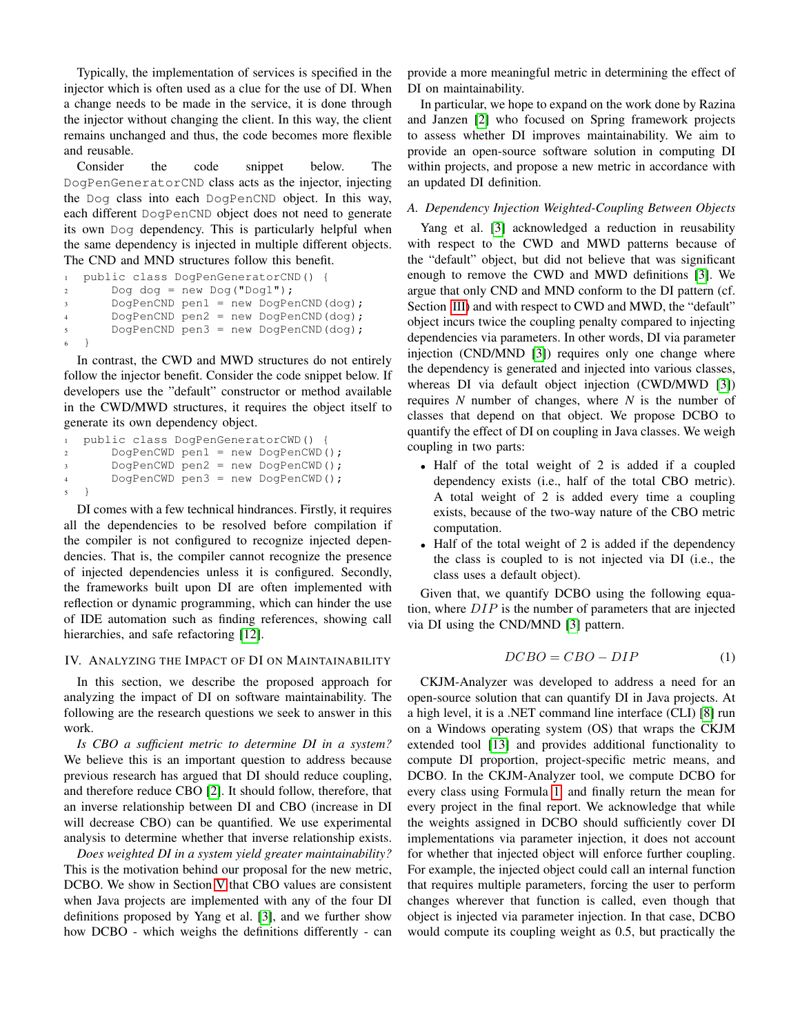Typically, the implementation of services is specified in the injector which is often used as a clue for the use of DI. When a change needs to be made in the service, it is done through the injector without changing the client. In this way, the client remains unchanged and thus, the code becomes more flexible and reusable.

Consider the code snippet below. The DogPenGeneratorCND class acts as the injector, injecting the Dog class into each DogPenCND object. In this way, each different DogPenCND object does not need to generate its own Dog dependency. This is particularly helpful when the same dependency is injected in multiple different objects. The CND and MND structures follow this benefit.

```
1 public class DogPenGeneratorCND() {
2 \text{ Dog dog} = \text{new Dog}(\text{''Dog1''});3 DogPenCND pen1 = new DogPenCND(dog);
       4 DogPenCND pen2 = new DogPenCND(dog);
       5 DogPenCND pen3 = new DogPenCND(dog);
6 }
```
In contrast, the CWD and MWD structures do not entirely follow the injector benefit. Consider the code snippet below. If developers use the "default" constructor or method available in the CWD/MWD structures, it requires the object itself to generate its own dependency object.

```
1 public class DogPenGeneratorCWD() {
       DogPenCWD pen1 = new DogPenCWD ();
       3 DogPenCWD pen2 = new DogPenCWD();
       DogPenCWD pen3 = new DogPenCWD();
5 }
```
DI comes with a few technical hindrances. Firstly, it requires all the dependencies to be resolved before compilation if the compiler is not configured to recognize injected dependencies. That is, the compiler cannot recognize the presence of injected dependencies unless it is configured. Secondly, the frameworks built upon DI are often implemented with reflection or dynamic programming, which can hinder the use of IDE automation such as finding references, showing call hierarchies, and safe refactoring [\[12\]](#page-6-11).

## <span id="page-2-0"></span>IV. ANALYZING THE IMPACT OF DI ON MAINTAINABILITY

In this section, we describe the proposed approach for analyzing the impact of DI on software maintainability. The following are the research questions we seek to answer in this work.

*Is CBO a sufficient metric to determine DI in a system?* We believe this is an important question to address because previous research has argued that DI should reduce coupling, and therefore reduce CBO [\[2\]](#page-6-1). It should follow, therefore, that an inverse relationship between DI and CBO (increase in DI will decrease CBO) can be quantified. We use experimental analysis to determine whether that inverse relationship exists.

*Does weighted DI in a system yield greater maintainability?* This is the motivation behind our proposal for the new metric, DCBO. We show in Section [V](#page-3-0) that CBO values are consistent when Java projects are implemented with any of the four DI definitions proposed by Yang et al. [\[3\]](#page-6-10), and we further show how DCBO - which weighs the definitions differently - can

provide a more meaningful metric in determining the effect of DI on maintainability.

In particular, we hope to expand on the work done by Razina and Janzen [\[2\]](#page-6-1) who focused on Spring framework projects to assess whether DI improves maintainability. We aim to provide an open-source software solution in computing DI within projects, and propose a new metric in accordance with an updated DI definition.

## *A. Dependency Injection Weighted-Coupling Between Objects*

Yang et al. [\[3\]](#page-6-10) acknowledged a reduction in reusability with respect to the CWD and MWD patterns because of the "default" object, but did not believe that was significant enough to remove the CWD and MWD definitions [\[3\]](#page-6-10). We argue that only CND and MND conform to the DI pattern (cf. Section [III\)](#page-1-0) and with respect to CWD and MWD, the "default" object incurs twice the coupling penalty compared to injecting dependencies via parameters. In other words, DI via parameter injection (CND/MND [\[3\]](#page-6-10)) requires only one change where the dependency is generated and injected into various classes, whereas DI via default object injection (CWD/MWD [\[3\]](#page-6-10)) requires *N* number of changes, where *N* is the number of classes that depend on that object. We propose DCBO to quantify the effect of DI on coupling in Java classes. We weigh coupling in two parts:

- Half of the total weight of 2 is added if a coupled dependency exists (i.e., half of the total CBO metric). A total weight of 2 is added every time a coupling exists, because of the two-way nature of the CBO metric computation.
- Half of the total weight of 2 is added if the dependency the class is coupled to is not injected via DI (i.e., the class uses a default object).

Given that, we quantify DCBO using the following equation, where  $DIP$  is the number of parameters that are injected via DI using the CND/MND [\[3\]](#page-6-10) pattern.

<span id="page-2-1"></span>
$$
DCBO = CBO - DIP \tag{1}
$$

CKJM-Analyzer was developed to address a need for an open-source solution that can quantify DI in Java projects. At a high level, it is a .NET command line interface (CLI) [\[8\]](#page-6-5) run on a Windows operating system (OS) that wraps the CKJM extended tool [\[13\]](#page-6-12) and provides additional functionality to compute DI proportion, project-specific metric means, and DCBO. In the CKJM-Analyzer tool, we compute DCBO for every class using Formula [1,](#page-2-1) and finally return the mean for every project in the final report. We acknowledge that while the weights assigned in DCBO should sufficiently cover DI implementations via parameter injection, it does not account for whether that injected object will enforce further coupling. For example, the injected object could call an internal function that requires multiple parameters, forcing the user to perform changes wherever that function is called, even though that object is injected via parameter injection. In that case, DCBO would compute its coupling weight as 0.5, but practically the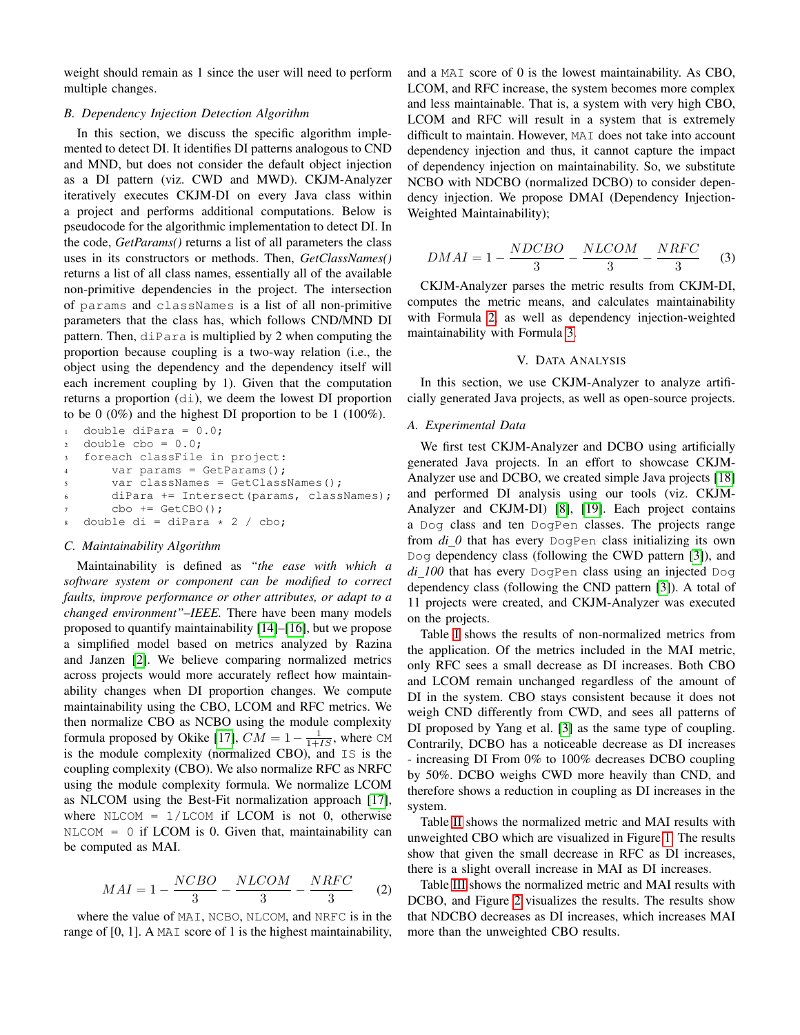weight should remain as 1 since the user will need to perform multiple changes.

## *B. Dependency Injection Detection Algorithm*

In this section, we discuss the specific algorithm implemented to detect DI. It identifies DI patterns analogous to CND and MND, but does not consider the default object injection as a DI pattern (viz. CWD and MWD). CKJM-Analyzer iteratively executes CKJM-DI on every Java class within a project and performs additional computations. Below is pseudocode for the algorithmic implementation to detect DI. In the code, *GetParams()* returns a list of all parameters the class uses in its constructors or methods. Then, *GetClassNames()* returns a list of all class names, essentially all of the available non-primitive dependencies in the project. The intersection of params and classNames is a list of all non-primitive parameters that the class has, which follows CND/MND DI pattern. Then, diPara is multiplied by 2 when computing the proportion because coupling is a two-way relation (i.e., the object using the dependency and the dependency itself will each increment coupling by 1). Given that the computation returns a proportion (di), we deem the lowest DI proportion to be 0 (0%) and the highest DI proportion to be 1 (100%).

```
1 double diPara = 0.0;
2 double cbo = 0.0;
  foreach classFile in project:
       var params = GetParameters();
       var classNames = GetClassNames();
       diPara += Intersect (params, classNames);
       cbo += GetCBO();
  double di = diPara * 2 / cbo;
```
## *C. Maintainability Algorithm*

Maintainability is defined as *"the ease with which a software system or component can be modified to correct faults, improve performance or other attributes, or adapt to a changed environment"–IEEE.* There have been many models proposed to quantify maintainability [\[14\]](#page-6-13)–[\[16\]](#page-6-14), but we propose a simplified model based on metrics analyzed by Razina and Janzen [\[2\]](#page-6-1). We believe comparing normalized metrics across projects would more accurately reflect how maintainability changes when DI proportion changes. We compute maintainability using the CBO, LCOM and RFC metrics. We then normalize CBO as NCBO using the module complexity formula proposed by Okike [\[17\]](#page-6-15),  $CM = 1 - \frac{1}{1+IS}$ , where CM is the module complexity (normalized CBO), and IS is the coupling complexity (CBO). We also normalize RFC as NRFC using the module complexity formula. We normalize LCOM as NLCOM using the Best-Fit normalization approach [\[17\]](#page-6-15), where  $NLCOM = 1/LCOM$  if LCOM is not 0, otherwise  $NLCOM = 0$  if LCOM is 0. Given that, maintainability can be computed as MAI.

<span id="page-3-1"></span>
$$
MAI = 1 - \frac{NCBO}{3} - \frac{NLCOM}{3} - \frac{NRFC}{3} \tag{2}
$$

where the value of MAI, NCBO, NLCOM, and NRFC is in the range of  $[0, 1]$ . A MAI score of 1 is the highest maintainability, and a MAI score of 0 is the lowest maintainability. As CBO, LCOM, and RFC increase, the system becomes more complex and less maintainable. That is, a system with very high CBO, LCOM and RFC will result in a system that is extremely difficult to maintain. However, MAI does not take into account dependency injection and thus, it cannot capture the impact of dependency injection on maintainability. So, we substitute NCBO with NDCBO (normalized DCBO) to consider dependency injection. We propose DMAI (Dependency Injection-Weighted Maintainability);

<span id="page-3-2"></span>
$$
DMAI = 1 - \frac{NDCBO}{3} - \frac{NLCOM}{3} - \frac{NRFC}{3} \tag{3}
$$

CKJM-Analyzer parses the metric results from CKJM-DI, computes the metric means, and calculates maintainability with Formula [2,](#page-3-1) as well as dependency injection-weighted maintainability with Formula [3.](#page-3-2)

#### V. DATA ANALYSIS

<span id="page-3-0"></span>In this section, we use CKJM-Analyzer to analyze artificially generated Java projects, as well as open-source projects.

## *A. Experimental Data*

We first test CKJM-Analyzer and DCBO using artificially generated Java projects. In an effort to showcase CKJM-Analyzer use and DCBO, we created simple Java projects [\[18\]](#page-6-16) and performed DI analysis using our tools (viz. CKJM-Analyzer and CKJM-DI) [\[8\]](#page-6-5), [\[19\]](#page-6-17). Each project contains a Dog class and ten DogPen classes. The projects range from *di 0* that has every DogPen class initializing its own Dog dependency class (following the CWD pattern [\[3\]](#page-6-10)), and *di 100* that has every DogPen class using an injected Dog dependency class (following the CND pattern [\[3\]](#page-6-10)). A total of 11 projects were created, and CKJM-Analyzer was executed on the projects.

Table [I](#page-4-0) shows the results of non-normalized metrics from the application. Of the metrics included in the MAI metric, only RFC sees a small decrease as DI increases. Both CBO and LCOM remain unchanged regardless of the amount of DI in the system. CBO stays consistent because it does not weigh CND differently from CWD, and sees all patterns of DI proposed by Yang et al. [\[3\]](#page-6-10) as the same type of coupling. Contrarily, DCBO has a noticeable decrease as DI increases - increasing DI From 0% to 100% decreases DCBO coupling by 50%. DCBO weighs CWD more heavily than CND, and therefore shows a reduction in coupling as DI increases in the system.

Table [II](#page-4-1) shows the normalized metric and MAI results with unweighted CBO which are visualized in Figure [1.](#page-4-2) The results show that given the small decrease in RFC as DI increases, there is a slight overall increase in MAI as DI increases.

Table [III](#page-4-3) shows the normalized metric and MAI results with DCBO, and Figure [2](#page-4-4) visualizes the results. The results show that NDCBO decreases as DI increases, which increases MAI more than the unweighted CBO results.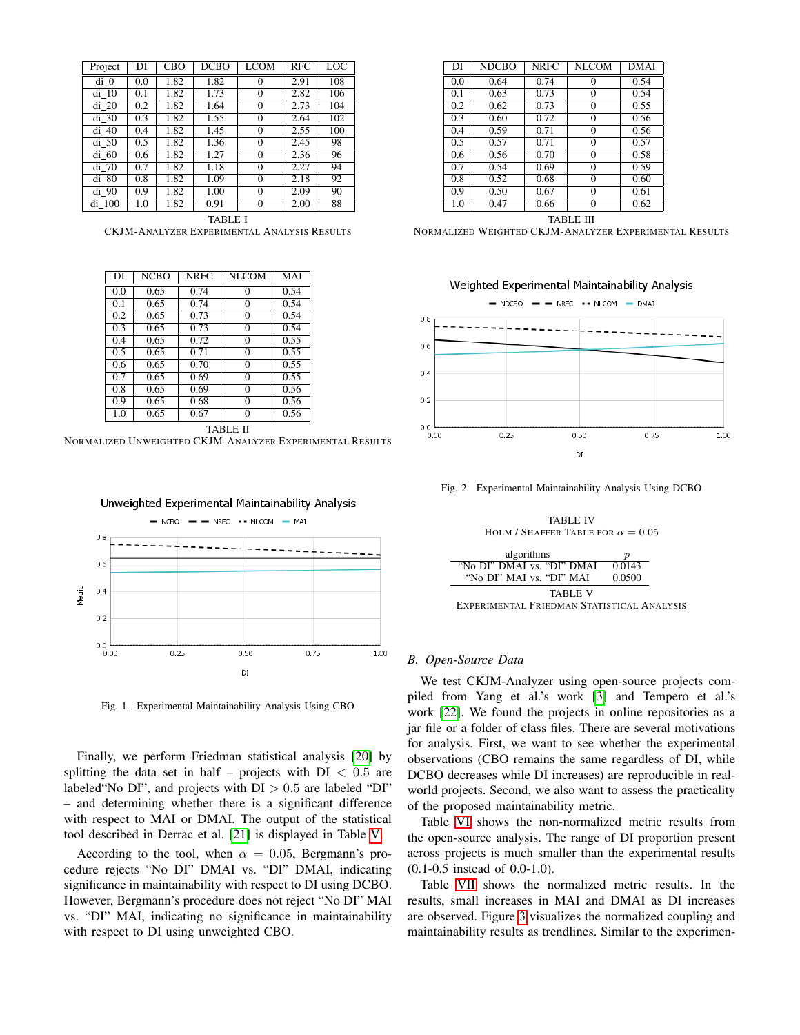| Project | DI  | CBO  | DCBO | <b>LCOM</b> | <b>RFC</b> | LOC |
|---------|-----|------|------|-------------|------------|-----|
| di 0    | 0.0 | 1.82 | 1.82 | $\theta$    | 2.91       | 108 |
| di 10   | 0.1 | 1.82 | 1.73 | $\theta$    | 2.82       | 106 |
| di 20   | 0.2 | 1.82 | 1.64 | $\Omega$    | 2.73       | 104 |
| $di$ 30 | 0.3 | 1.82 | 1.55 | $\theta$    | 2.64       | 102 |
| di 40   | 0.4 | 1.82 | 1.45 | $\Omega$    | 2.55       | 100 |
| $di$ 50 | 0.5 | 1.82 | 1.36 | $\Omega$    | 2.45       | 98  |
| di 60   | 0.6 | 1.82 | 1.27 | $\Omega$    | 2.36       | 96  |
| di 70   | 0.7 | 1.82 | 1.18 | $\Omega$    | 2.27       | 94  |
| di 80   | 0.8 | 1.82 | 1.09 | $\Omega$    | 2.18       | 92  |
| di 90   | 0.9 | 1.82 | 1.00 | $\Omega$    | 2.09       | 90  |
| di 100  | 1.0 | 1.82 | 0.91 | $\Omega$    | 2.00       | 88  |

<span id="page-4-0"></span>TABLE I CKJM-ANALYZER EXPERIMENTAL ANALYSIS RESULTS

| DI  | <b>NCBO</b> | <b>NRFC</b> | <b>NLCOM</b> | MAI  |  |  |
|-----|-------------|-------------|--------------|------|--|--|
| 0.0 | 0.65        | 0.74        | $\theta$     | 0.54 |  |  |
| 0.1 | 0.65        | 0.74        | $\theta$     | 0.54 |  |  |
| 0.2 | 0.65        | 0.73        | $\theta$     | 0.54 |  |  |
| 0.3 | 0.65        | 0.73        | $\theta$     | 0.54 |  |  |
| 0.4 | 0.65        | 0.72        | 0            | 0.55 |  |  |
| 0.5 | 0.65        | 0.71        | $\theta$     | 0.55 |  |  |
| 0.6 | 0.65        | 0.70        | $\theta$     | 0.55 |  |  |
| 0.7 | 0.65        | 0.69        | $\theta$     | 0.55 |  |  |
| 0.8 | 0.65        | 0.69        | $\theta$     | 0.56 |  |  |
| 0.9 | 0.65        | 0.68        | 0            | 0.56 |  |  |
| 1.0 | 0.65        | 0.67        | $\theta$     | 0.56 |  |  |
|     | TABLE II    |             |              |      |  |  |

<span id="page-4-1"></span>NORMALIZED UNWEIGHTED CKJM-ANALYZER EXPERIMENTAL RESULTS



<span id="page-4-2"></span>Fig. 1. Experimental Maintainability Analysis Using CBO

Finally, we perform Friedman statistical analysis [\[20\]](#page-6-18) by splitting the data set in half – projects with  $DI < 0.5$  are labeled "No DI", and projects with  $DI > 0.5$  are labeled "DI" – and determining whether there is a significant difference with respect to MAI or DMAI. The output of the statistical tool described in Derrac et al. [\[21\]](#page-6-19) is displayed in Table [V.](#page-4-5)

According to the tool, when  $\alpha = 0.05$ , Bergmann's procedure rejects "No DI" DMAI vs. "DI" DMAI, indicating significance in maintainability with respect to DI using DCBO. However, Bergmann's procedure does not reject "No DI" MAI vs. "DI" MAI, indicating no significance in maintainability with respect to DI using unweighted CBO.

| DI  | <b>NDCBO</b> | <b>NRFC</b> | <b>NLCOM</b> | <b>DMAI</b> |
|-----|--------------|-------------|--------------|-------------|
| 0.0 | 0.64         | 0.74        | $\theta$     | 0.54        |
| 0.1 | 0.63         | 0.73        | 0            | 0.54        |
| 0.2 | 0.62         | 0.73        | 0            | 0.55        |
| 0.3 | 0.60         | 0.72        | 0            | 0.56        |
| 0.4 | 0.59         | 0.71        | 0            | 0.56        |
| 0.5 | 0.57         | 0.71        | 0            | 0.57        |
| 0.6 | 0.56         | 0.70        | 0            | 0.58        |
| 0.7 | 0.54         | 0.69        | 0            | 0.59        |
| 0.8 | 0.52         | 0.68        | $\Omega$     | 0.60        |
| 0.9 | 0.50         | 0.67        | 0            | 0.61        |
| 1.0 | 0.47         | 0.66        | 0            | 0.62        |

TABLE III

<span id="page-4-3"></span>NORMALIZED WEIGHTED CKJM-ANALYZER EXPERIMENTAL RESULTS



Fig. 2. Experimental Maintainability Analysis Using DCBO

<span id="page-4-4"></span>TABLE IV HOLM / SHAFFER TABLE FOR  $\alpha = 0.05$ 



# <span id="page-4-5"></span>*B. Open-Source Data*

We test CKJM-Analyzer using open-source projects compiled from Yang et al.'s work [\[3\]](#page-6-10) and Tempero et al.'s work [\[22\]](#page-6-20). We found the projects in online repositories as a jar file or a folder of class files. There are several motivations for analysis. First, we want to see whether the experimental observations (CBO remains the same regardless of DI, while DCBO decreases while DI increases) are reproducible in realworld projects. Second, we also want to assess the practicality of the proposed maintainability metric.

Table [VI](#page-5-1) shows the non-normalized metric results from the open-source analysis. The range of DI proportion present across projects is much smaller than the experimental results (0.1-0.5 instead of 0.0-1.0).

Table [VII](#page-5-2) shows the normalized metric results. In the results, small increases in MAI and DMAI as DI increases are observed. Figure [3](#page-5-3) visualizes the normalized coupling and maintainability results as trendlines. Similar to the experimen-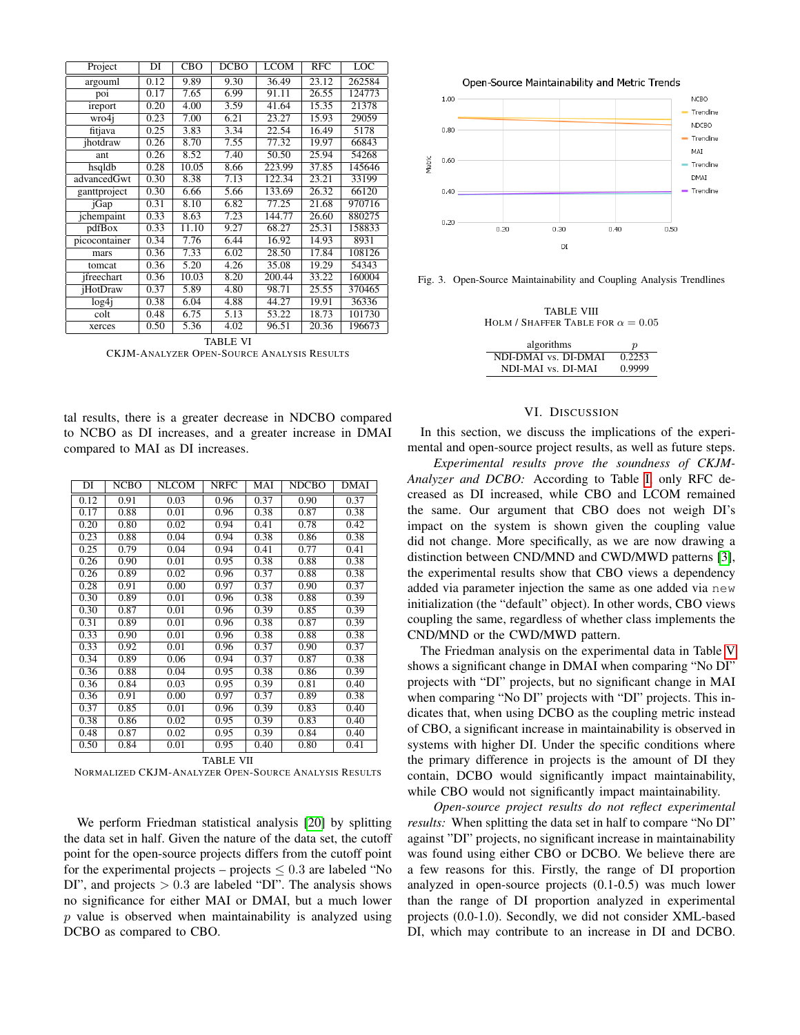| Project           | DI   | <b>CBO</b> | <b>DCBO</b> | <b>LCOM</b> | <b>RFC</b> | LOC    |
|-------------------|------|------------|-------------|-------------|------------|--------|
| argouml           | 0.12 | 9.89       | 9.30        | 36.49       | 23.12      | 262584 |
| poi               | 0.17 | 7.65       | 6.99        | 91.11       | 26.55      | 124773 |
| ireport           | 0.20 | 4.00       | 3.59        | 41.64       | 15.35      | 21378  |
| wro4i             | 0.23 | 7.00       | 6.21        | 23.27       | 15.93      | 29059  |
| fitjava           | 0.25 | 3.83       | 3.34        | 22.54       | 16.49      | 5178   |
| ihotdraw          | 0.26 | 8.70       | 7.55        | 77.32       | 19.97      | 66843  |
| ant               | 0.26 | 8.52       | 7.40        | 50.50       | 25.94      | 54268  |
| hsqldb            | 0.28 | 10.05      | 8.66        | 223.99      | 37.85      | 145646 |
| advancedGwt       | 0.30 | 8.38       | 7.13        | 122.34      | 23.21      | 33199  |
| ganttproject      | 0.30 | 6.66       | 5.66        | 133.69      | 26.32      | 66120  |
| jGap              | 0.31 | 8.10       | 6.82        | 77.25       | 21.68      | 970716 |
| jchempaint        | 0.33 | 8.63       | 7.23        | 144.77      | 26.60      | 880275 |
| pdfBox            | 0.33 | 11.10      | 9.27        | 68.27       | 25.31      | 158833 |
| picocontainer     | 0.34 | 7.76       | 6.44        | 16.92       | 14.93      | 8931   |
| mars              | 0.36 | 7.33       | 6.02        | 28.50       | 17.84      | 108126 |
| tomcat            | 0.36 | 5.20       | 4.26        | 35.08       | 19.29      | 54343  |
| ifreechart        | 0.36 | 10.03      | 8.20        | 200.44      | 33.22      | 160004 |
| <i>iHotDraw</i>   | 0.37 | 5.89       | 4.80        | 98.71       | 25.55      | 370465 |
| log4 <sub>i</sub> | 0.38 | 6.04       | 4.88        | 44.27       | 19.91      | 36336  |
| colt              | 0.48 | 6.75       | 5.13        | 53.22       | 18.73      | 101730 |
| xerces            | 0.50 | 5.36       | 4.02        | 96.51       | 20.36      | 196673 |

<span id="page-5-1"></span>TABLE VI CKJM-ANALYZER OPEN-SOURCE ANALYSIS RESULTS

tal results, there is a greater decrease in NDCBO compared to NCBO as DI increases, and a greater increase in DMAI compared to MAI as DI increases.

| DI               | <b>NCBO</b> | <b>NLCOM</b> | <b>NRFC</b> | MAI  | <b>NDCBO</b> | DMAI |
|------------------|-------------|--------------|-------------|------|--------------|------|
| 0.12             | 0.91        | 0.03         | 0.96        | 0.37 | 0.90         | 0.37 |
| 0.17             | 0.88        | 0.01         | 0.96        | 0.38 | 0.87         | 0.38 |
| 0.20             | 0.80        | 0.02         | 0.94        | 0.41 | 0.78         | 0.42 |
| 0.23             | 0.88        | 0.04         | 0.94        | 0.38 | 0.86         | 0.38 |
| 0.25             | 0.79        | 0.04         | 0.94        | 0.41 | 0.77         | 0.41 |
| 0.26             | 0.90        | 0.01         | 0.95        | 0.38 | 0.88         | 0.38 |
| 0.26             | 0.89        | 0.02         | 0.96        | 0.37 | 0.88         | 0.38 |
| 0.28             | 0.91        | 0.00         | 0.97        | 0.37 | 0.90         | 0.37 |
| 0.30             | 0.89        | 0.01         | 0.96        | 0.38 | 0.88         | 0.39 |
| 0.30             | 0.87        | 0.01         | 0.96        | 0.39 | 0.85         | 0.39 |
| 0.31             | 0.89        | 0.01         | 0.96        | 0.38 | 0.87         | 0.39 |
| 0.33             | 0.90        | 0.01         | 0.96        | 0.38 | 0.88         | 0.38 |
| 0.33             | 0.92        | 0.01         | 0.96        | 0.37 | 0.90         | 0.37 |
| 0.34             | 0.89        | 0.06         | 0.94        | 0.37 | 0.87         | 0.38 |
| 0.36             | 0.88        | 0.04         | 0.95        | 0.38 | 0.86         | 0.39 |
| 0.36             | 0.84        | 0.03         | 0.95        | 0.39 | 0.81         | 0.40 |
| 0.36             | 0.91        | 0.00         | 0.97        | 0.37 | 0.89         | 0.38 |
| 0.37             | 0.85        | 0.01         | 0.96        | 0.39 | 0.83         | 0.40 |
| 0.38             | 0.86        | 0.02         | 0.95        | 0.39 | 0.83         | 0.40 |
| 0.48             | 0.87        | 0.02         | 0.95        | 0.39 | 0.84         | 0.40 |
| 0.50             | 0.84        | 0.01         | 0.95        | 0.40 | 0.80         | 0.41 |
| <b>TABLE VII</b> |             |              |             |      |              |      |

<span id="page-5-2"></span>NORMALIZED CKJM-ANALYZER OPEN-SOURCE ANALYSIS RESULTS

We perform Friedman statistical analysis [\[20\]](#page-6-18) by splitting the data set in half. Given the nature of the data set, the cutoff point for the open-source projects differs from the cutoff point for the experimental projects – projects  $\leq 0.3$  are labeled "No DI", and projects  $> 0.3$  are labeled "DI". The analysis shows no significance for either MAI or DMAI, but a much lower  $p$  value is observed when maintainability is analyzed using DCBO as compared to CBO.

Open-Source Maintainability and Metric Trends



<span id="page-5-3"></span>Fig. 3. Open-Source Maintainability and Coupling Analysis Trendlines

TABLE VIII HOLM / SHAFFER TABLE FOR  $\alpha = 0.05$ 

| algorithms           | $\boldsymbol{v}$ |
|----------------------|------------------|
| NDI-DMAI vs. DI-DMAI | 0.2253           |
| NDI-MAI vs. DI-MAI   | 0.9999           |

#### VI. DISCUSSION

<span id="page-5-0"></span>In this section, we discuss the implications of the experimental and open-source project results, as well as future steps.

*Experimental results prove the soundness of CKJM-Analyzer and DCBO:* According to Table [I,](#page-4-0) only RFC decreased as DI increased, while CBO and LCOM remained the same. Our argument that CBO does not weigh DI's impact on the system is shown given the coupling value did not change. More specifically, as we are now drawing a distinction between CND/MND and CWD/MWD patterns [\[3\]](#page-6-10), the experimental results show that CBO views a dependency added via parameter injection the same as one added via new initialization (the "default" object). In other words, CBO views coupling the same, regardless of whether class implements the CND/MND or the CWD/MWD pattern.

The Friedman analysis on the experimental data in Table [V](#page-4-5) shows a significant change in DMAI when comparing "No DI" projects with "DI" projects, but no significant change in MAI when comparing "No DI" projects with "DI" projects. This indicates that, when using DCBO as the coupling metric instead of CBO, a significant increase in maintainability is observed in systems with higher DI. Under the specific conditions where the primary difference in projects is the amount of DI they contain, DCBO would significantly impact maintainability, while CBO would not significantly impact maintainability.

*Open-source project results do not reflect experimental results:* When splitting the data set in half to compare "No DI" against "DI" projects, no significant increase in maintainability was found using either CBO or DCBO. We believe there are a few reasons for this. Firstly, the range of DI proportion analyzed in open-source projects (0.1-0.5) was much lower than the range of DI proportion analyzed in experimental projects (0.0-1.0). Secondly, we did not consider XML-based DI, which may contribute to an increase in DI and DCBO.